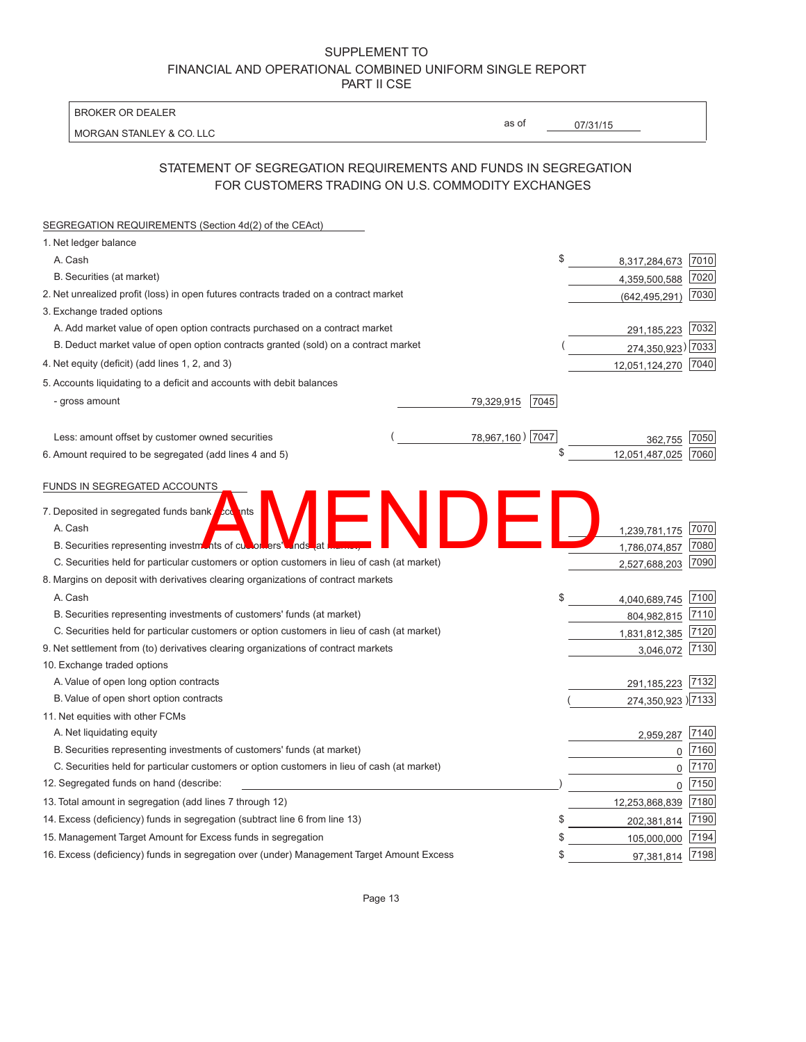MORGAN STANLEY & CO. LLC 4,359,500,588 (642,495,291) 291,185,223 78,967,160) 7047 07/31/15 79,329,915 - gross amount 7045  $(274,350,923)$ 1,239,781,175 1,786,074,857 2,527,688,203 A. Cash 3,040,689,745 2100 3,000,000 3,000 3,000 4,040,689,745 3,040,689,745 2100 804,982,815 1,831,812,385 3,046,072 291,185,223  $(274,350,923)$ 2,959,287  $\overline{0}$ 0 0 A. Cash 8,317,284,673 <u>| 7010</u> 12,051,487,025 362,755 12,051,124,270 12,253,868,839 202,381,814 105,000,000 97,381,814 BROKER OR DEALER as of STATEMENT OF SEGREGATION REQUIREMENTS AND FUNDS IN SEGREGATION FOR CUSTOMERS TRADING ON U.S. COMMODITY EXCHANGES SEGREGATION REQUIREMENTS (Section 4d(2) of the CEAct) 1. Net ledger balance B. Securities (at market) 200 and the securities (at market) 30 and 200 and 200 and 200 and 200 and 200 and 200 and 200 and 200 and 200 and 200 and 200 and 200 and 200 and 200 and 200 and 200 and 200 and 200 and 200 and 20 2. Net unrealized profit (loss) in open futures contracts traded on a contract market 7030 (642.495.291) (642.495.291) 3. Exchange traded options A. Add market value of open option contracts purchased on a contract market 7032 B. Deduct market value of open option contracts granted (sold) on a contract market 4. Net equity (deficit) (add lines 1, 2, and 3) 5. Accounts liquidating to a deficit and accounts with debit balances Less: amount offset by customer owned securities ( ) 78,967,160 | 7047 78,967,160 | 7047 6. Amount required to be segregated (add lines 4 and 5)  $$$   $$$   $12,051,487,025$   $\sqrt{7060}$ FUNDS IN SEGREGATED ACCOUNTS 7. Deposited in segregated funds bank A. Cash 7070 B. Securities representing investments of customers' funds at **manners' funds of the contract of the Contract Contract Contract Contract Contract Contract Contract Contract Contract Contract Contract Contract Contract Cont** C. Securities held for particular customers or option customers in lieu of cash (at market) 7090 C. Securities held for particular customers or option customers in lieu of cash (at market) 8. Margins on deposit with derivatives clearing organizations of contract markets B. Securities representing investments of customers' funds (at market) 304.982.815 7110 C. Securities held for particular customers or option customers in lieu of cash (at market) 7120 1831 7120 1831 812 385 7120 9. Net settlement from (to) derivatives clearing organizations of contract markets 3.046.072 7130 10. Exchange traded options A. Value of open long option contracts **7132** and the contracts 7132 and the contracts 7132 B. Value of open short option contracts  $(274.350.923)\overline{7133}$ 11. Net equities with other FCMs A. Net liquidating equity 7140 B. Securities representing investments of customers' funds (at market) 7160 C. Securities held for particular customers or option customers in lieu of cash (at market)  $\frac{1}{2170}$ 12. Segregated funds on hand (describe:  $\sqrt{7150}$ ) (7150 \$ \$ \$ 13. Total amount in segregation (add lines 7 through 12)  $(7180)$ 14. Excess (deficiency) funds in segregation (subtract line 6 from line 13) \$ 702.381.814 7190 15. Management Target Amount for Excess funds in segregation  $\frac{17194}{2}$ 16. Excess (deficiency) funds in segregation over (under) Management Target Amount Excess  $$37,381,814$   $7198$ This of curvents **Martin and Second True 10 and Second True 10**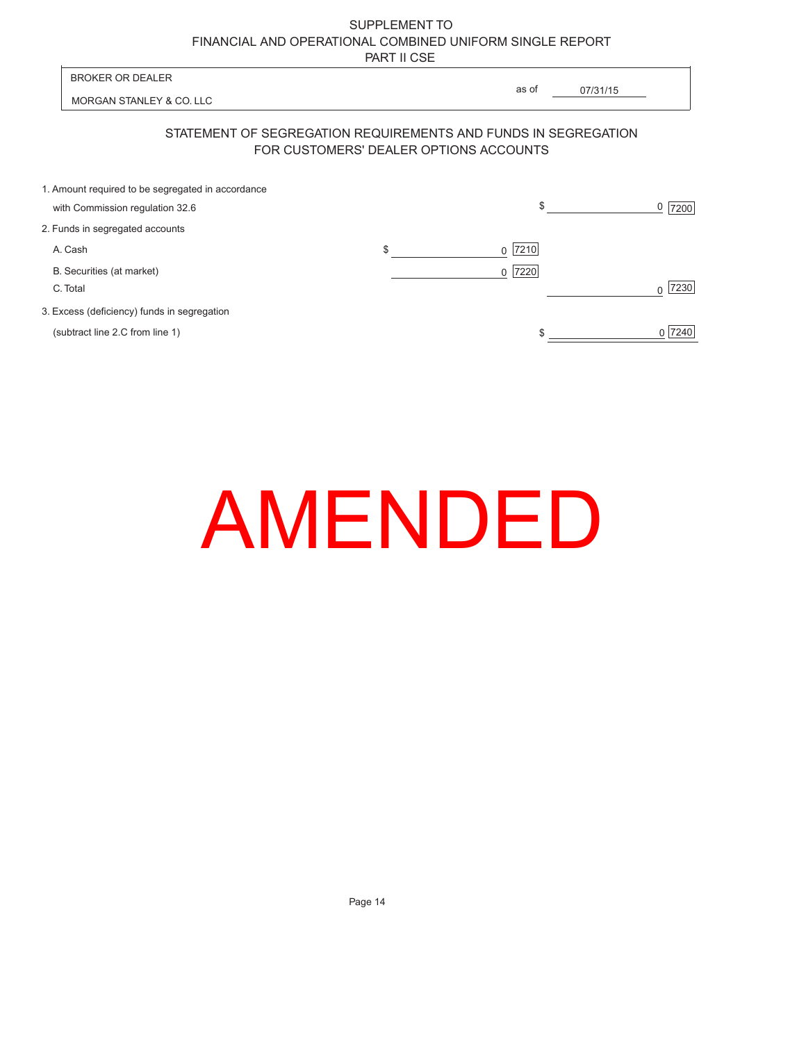| <b>BROKER OR DEALER</b>                                                              |                                        |                                                                |      |
|--------------------------------------------------------------------------------------|----------------------------------------|----------------------------------------------------------------|------|
| MORGAN STANLEY & CO. LLC                                                             |                                        | as of<br>07/31/15                                              |      |
|                                                                                      | FOR CUSTOMERS' DEALER OPTIONS ACCOUNTS | STATEMENT OF SEGREGATION REQUIREMENTS AND FUNDS IN SEGREGATION |      |
| 1. Amount required to be segregated in accordance<br>with Commission regulation 32.6 |                                        | \$                                                             | 7200 |
| 2. Funds in segregated accounts                                                      |                                        |                                                                |      |
| A. Cash                                                                              | \$                                     | $0$ 7210                                                       |      |
| B. Securities (at market)                                                            |                                        | 7220<br>$\Omega$                                               |      |
| C. Total                                                                             |                                        |                                                                | 7230 |

3. Excess (deficiency) funds in segregation

(subtract line 2.C from line 1)

l.

| AMENDED |  |  |
|---------|--|--|
|         |  |  |

 $0$  7240

 $\frac{1}{\sqrt{1-\frac{1}{2}}\sqrt{1-\frac{1}{2}}\left(\frac{1}{2}-\frac{1}{2}\right)}$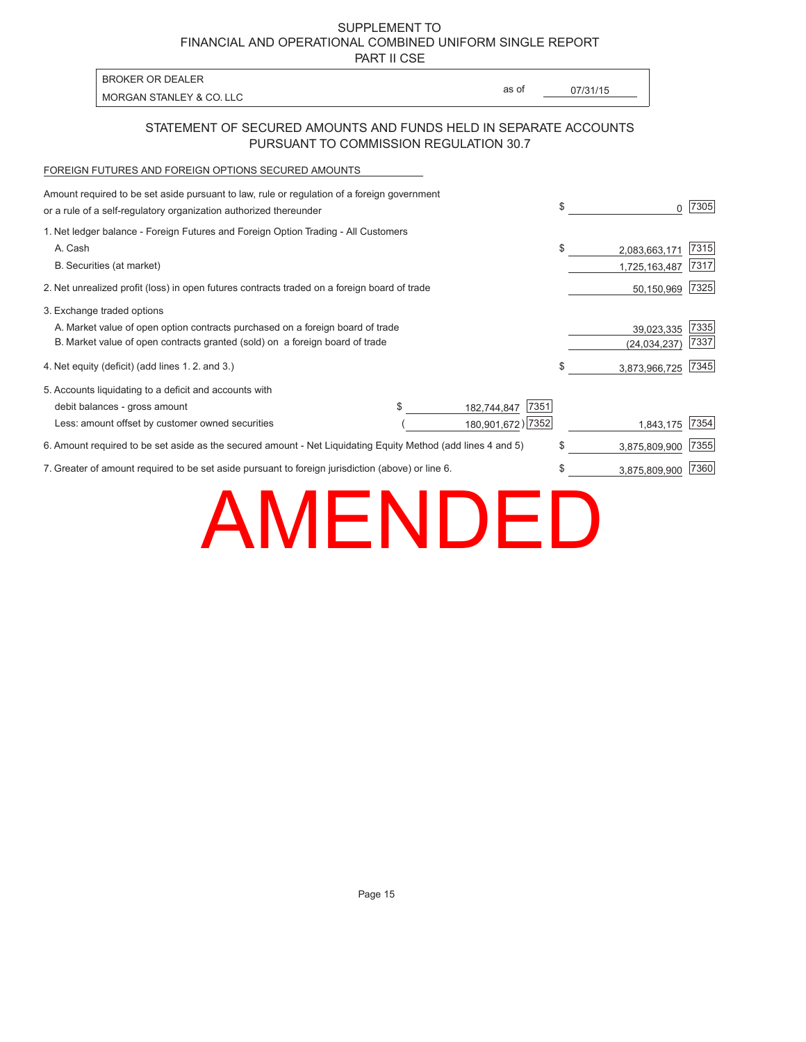PART II CSE

|                                                                                                            | BROKER OR DEALER                                                                            | as of |          |  |  |  |
|------------------------------------------------------------------------------------------------------------|---------------------------------------------------------------------------------------------|-------|----------|--|--|--|
|                                                                                                            | MORGAN STANLEY & CO. LLC                                                                    |       | 07/31/15 |  |  |  |
| STATEMENT OF SECURED AMOUNTS AND FUNDS HELD IN SEPARATE ACCOUNTS<br>PURSUANT TO COMMISSION REGULATION 30.7 |                                                                                             |       |          |  |  |  |
|                                                                                                            | FOREIGN FUTURES AND FOREIGN OPTIONS SECURED AMOUNTS                                         |       |          |  |  |  |
|                                                                                                            | Amount required to be set aside pursuant to law, rule or regulation of a foreign government |       |          |  |  |  |

| or a rule of a self-regulatory organization authorized thereunder                                            |    |                     | \$ | $\Omega$      | 7305 |
|--------------------------------------------------------------------------------------------------------------|----|---------------------|----|---------------|------|
| 1. Net ledger balance - Foreign Futures and Foreign Option Trading - All Customers                           |    |                     |    |               |      |
| A. Cash                                                                                                      |    |                     | \$ | 2,083,663,171 | 7315 |
| B. Securities (at market)                                                                                    |    |                     |    | 1,725,163,487 | 7317 |
| 2. Net unrealized profit (loss) in open futures contracts traded on a foreign board of trade                 |    |                     |    | 50,150,969    | 7325 |
| 3. Exchange traded options                                                                                   |    |                     |    |               |      |
| A. Market value of open option contracts purchased on a foreign board of trade                               |    |                     |    | 39,023,335    | 7335 |
| B. Market value of open contracts granted (sold) on a foreign board of trade                                 |    |                     |    | (24,034,237   | 7337 |
| 4. Net equity (deficit) (add lines 1.2. and 3.)                                                              |    |                     | \$ | 3,873,966,725 | 7345 |
| 5. Accounts liquidating to a deficit and accounts with                                                       |    |                     |    |               |      |
| debit balances - gross amount                                                                                | \$ | 7351<br>182,744,847 |    |               |      |
| Less: amount offset by customer owned securities                                                             |    | 180,901,672) 7352   |    | 1,843,175     | 7354 |
| 6. Amount required to be set aside as the secured amount - Net Liquidating Equity Method (add lines 4 and 5) |    |                     | \$ | 3,875,809,900 | 7355 |
| 7. Greater of amount required to be set aside pursuant to foreign jurisdiction (above) or line 6.            |    |                     | \$ | 3,875,809,900 | 7360 |
|                                                                                                              |    |                     |    |               |      |

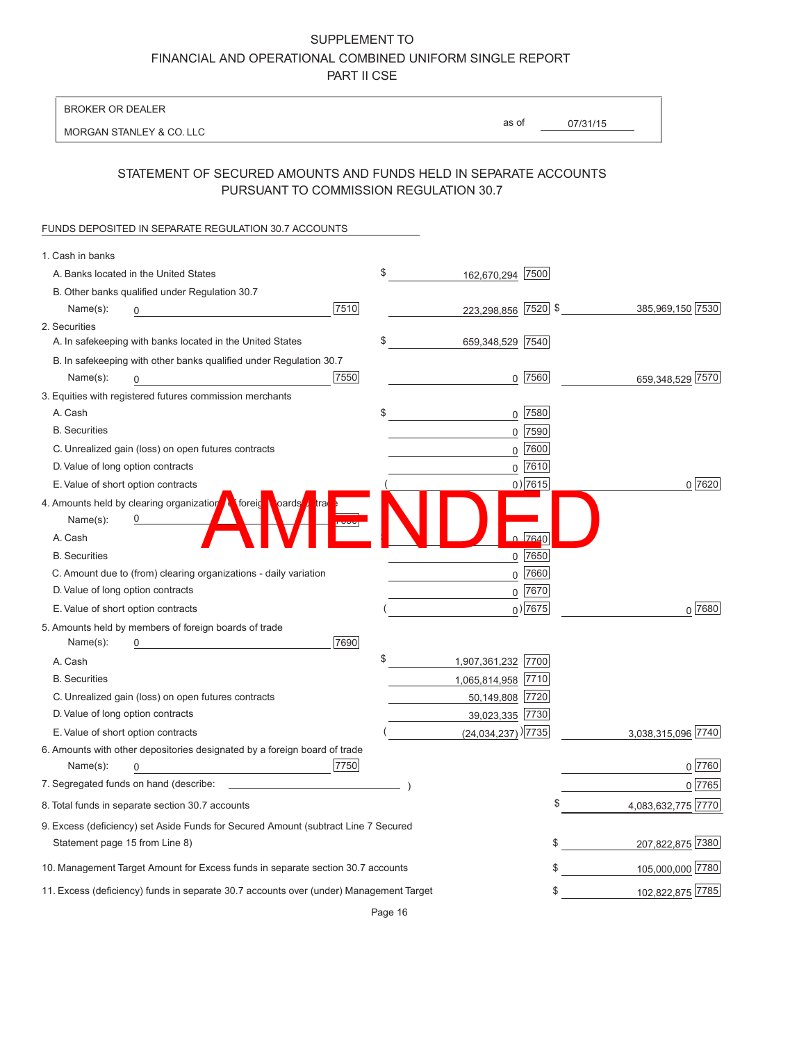BROKER OR DEALER

MORGAN STANLEY & CO. LLC

07/31/15 as of

### STATEMENT OF SECURED AMOUNTS AND FUNDS HELD IN SEPARATE ACCOUNTS PURSUANT TO COMMISSION REGULATION 30.7

#### FUNDS DEPOSITED IN SEPARATE REGULATION 30.7 ACCOUNTS

| 1. Cash in banks                                                                       |                                  |             |                    |
|----------------------------------------------------------------------------------------|----------------------------------|-------------|--------------------|
| A. Banks located in the United States                                                  | \$<br>162,670,294 7500           |             |                    |
| B. Other banks qualified under Regulation 30.7                                         |                                  |             |                    |
| 7510<br>Name(s):                                                                       | 223,298,856 7520 \$              |             | 385,969,150 7530   |
| 2. Securities                                                                          |                                  |             |                    |
| A. In safekeeping with banks located in the United States                              | \$<br>659,348,529 7540           |             |                    |
| B. In safekeeping with other banks qualified under Regulation 30.7                     |                                  |             |                    |
| 7550<br>Name(s):<br>0                                                                  |                                  | $0$  7560   | 659,348,529 7570   |
| 3. Equities with registered futures commission merchants                               |                                  |             |                    |
| A. Cash                                                                                | \$<br>$\mathsf{O}$               | 7580        |                    |
| <b>B.</b> Securities                                                                   |                                  | $0$ 7590    |                    |
| C. Unrealized gain (loss) on open futures contracts                                    |                                  | $0$ 7600    |                    |
| D. Value of long option contracts                                                      |                                  | $0$ 7610    |                    |
| E. Value of short option contracts                                                     |                                  | $0)$ 7615   | 0 7620             |
| 4. Amounts held by clearing organization to foreig poards that                         |                                  |             |                    |
| Name(s):                                                                               |                                  |             |                    |
| A. Cash                                                                                |                                  | 0.7640      |                    |
| <b>B.</b> Securities                                                                   |                                  | $0$ 7650    |                    |
| C. Amount due to (from) clearing organizations - daily variation                       |                                  | $0$ 7660    |                    |
| D. Value of long option contracts                                                      |                                  | $0$ 7670    |                    |
| E. Value of short option contracts                                                     |                                  | $_0$ ) 7675 | 0 7680             |
| 5. Amounts held by members of foreign boards of trade                                  |                                  |             |                    |
| 7690<br>Name(s):                                                                       |                                  |             |                    |
| A. Cash                                                                                | \$<br>1,907,361,232 7700         |             |                    |
| <b>B.</b> Securities                                                                   | 1,065,814,958 7710               |             |                    |
| C. Unrealized gain (loss) on open futures contracts                                    | 50,149,808 7720                  |             |                    |
| D. Value of long option contracts                                                      | 39,023,335 7730                  |             |                    |
| E. Value of short option contracts                                                     | $(24,034,237)$ <sup>)</sup> 7735 |             | 3,038,315,096 7740 |
| 6. Amounts with other depositories designated by a foreign board of trade              |                                  |             |                    |
| 7750<br>Name(s):<br>0                                                                  |                                  |             | $0$ 7760           |
| 7. Segregated funds on hand (describe:                                                 |                                  |             | 0 7765             |
| 8. Total funds in separate section 30.7 accounts                                       |                                  |             | 4,083,632,775 7770 |
| 9. Excess (deficiency) set Aside Funds for Secured Amount (subtract Line 7 Secured     |                                  |             |                    |
| Statement page 15 from Line 8)                                                         |                                  | \$          | 207,822,875 7380   |
| 10. Management Target Amount for Excess funds in separate section 30.7 accounts        |                                  |             | 105,000,000 7780   |
| 11. Excess (deficiency) funds in separate 30.7 accounts over (under) Management Target |                                  |             | 102,822,875 7785   |
|                                                                                        |                                  |             |                    |